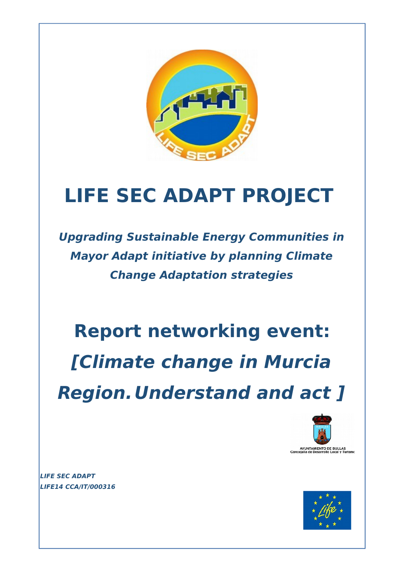

# **LIFE SEC ADAPT PROJECT**

**Upgrading Sustainable Energy Communities in Mayor Adapt initiative by planning Climate Change Adaptation strategies**

**Report networking event: [Climate change in Murcia Region.Understand and act ]**



**LIFE SEC ADAPT LIFE14 CCA/IT/000316** 

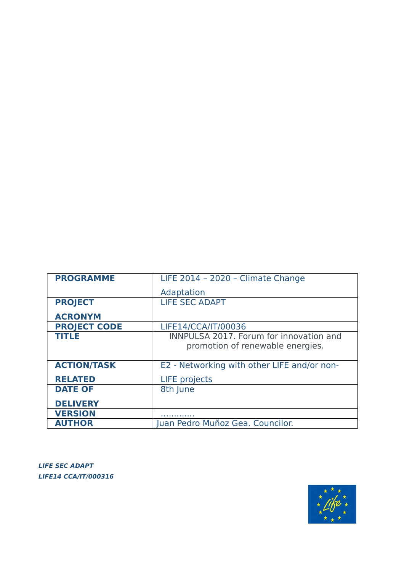| <b>PROGRAMME</b>    | LIFE 2014 - 2020 - Climate Change              |
|---------------------|------------------------------------------------|
|                     | Adaptation                                     |
| <b>PROJECT</b>      | <b>LIFE SEC ADAPT</b>                          |
| <b>ACRONYM</b>      |                                                |
| <b>PROJECT CODE</b> | LIFE14/CCA/IT/00036                            |
| <b>TITLE</b>        | <b>INNPULSA 2017. Forum for innovation and</b> |
|                     | promotion of renewable energies.               |
|                     |                                                |
| <b>ACTION/TASK</b>  | E2 - Networking with other LIFE and/or non-    |
| <b>RELATED</b>      | <b>LIFE</b> projects                           |
| <b>DATE OF</b>      | 8th June                                       |
| <b>DELIVERY</b>     |                                                |
| <b>VERSION</b>      |                                                |
| <b>AUTHOR</b>       | luan Pedro Muñoz Gea. Councilor.               |

**LIFE SEC ADAPT LIFE14 CCA/IT/000316** 

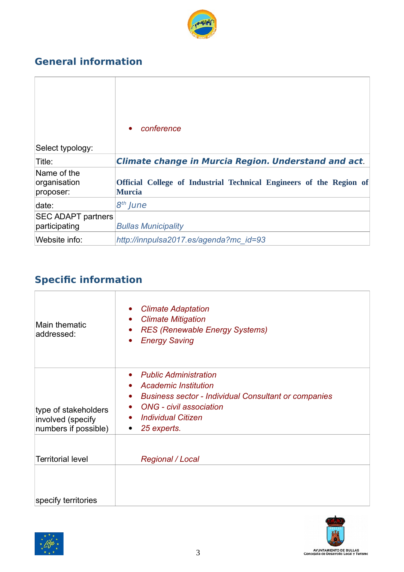

# **General information**

|                                            | conference<br>$\bullet$                                                       |
|--------------------------------------------|-------------------------------------------------------------------------------|
| Select typology:                           |                                                                               |
| Title:                                     | <b>Climate change in Murcia Region. Understand and act.</b>                   |
| Name of the<br>organisation<br>proposer:   | Official College of Industrial Technical Engineers of the Region of<br>Murcia |
| date:                                      | 8 <sup>th</sup> June                                                          |
| <b>SEC ADAPT partners</b><br>participating | <b>Bullas Municipality</b>                                                    |
| Website info:                              | http://innpulsa2017.es/agenda?mc id=93                                        |

# **Specific information**

| Main thematic<br>addressed:                                       | <b>Climate Adaptation</b><br><b>Climate Mitigation</b><br>$\bullet$<br><b>RES (Renewable Energy Systems)</b><br>$\bullet$<br><b>Energy Saving</b><br>$\bullet$                                                                                                |
|-------------------------------------------------------------------|---------------------------------------------------------------------------------------------------------------------------------------------------------------------------------------------------------------------------------------------------------------|
| type of stakeholders<br>involved (specify<br>numbers if possible) | <b>Public Administration</b><br>$\bullet$<br><b>Academic Institution</b><br>$\bullet$<br>• Business sector - Individual Consultant or companies<br>ONG - civil association<br>$\bullet$<br><b>Individual Citizen</b><br>$\bullet$<br>25 experts.<br>$\bullet$ |
| <b>Territorial level</b>                                          | <b>Regional / Local</b>                                                                                                                                                                                                                                       |
| specify territories                                               |                                                                                                                                                                                                                                                               |